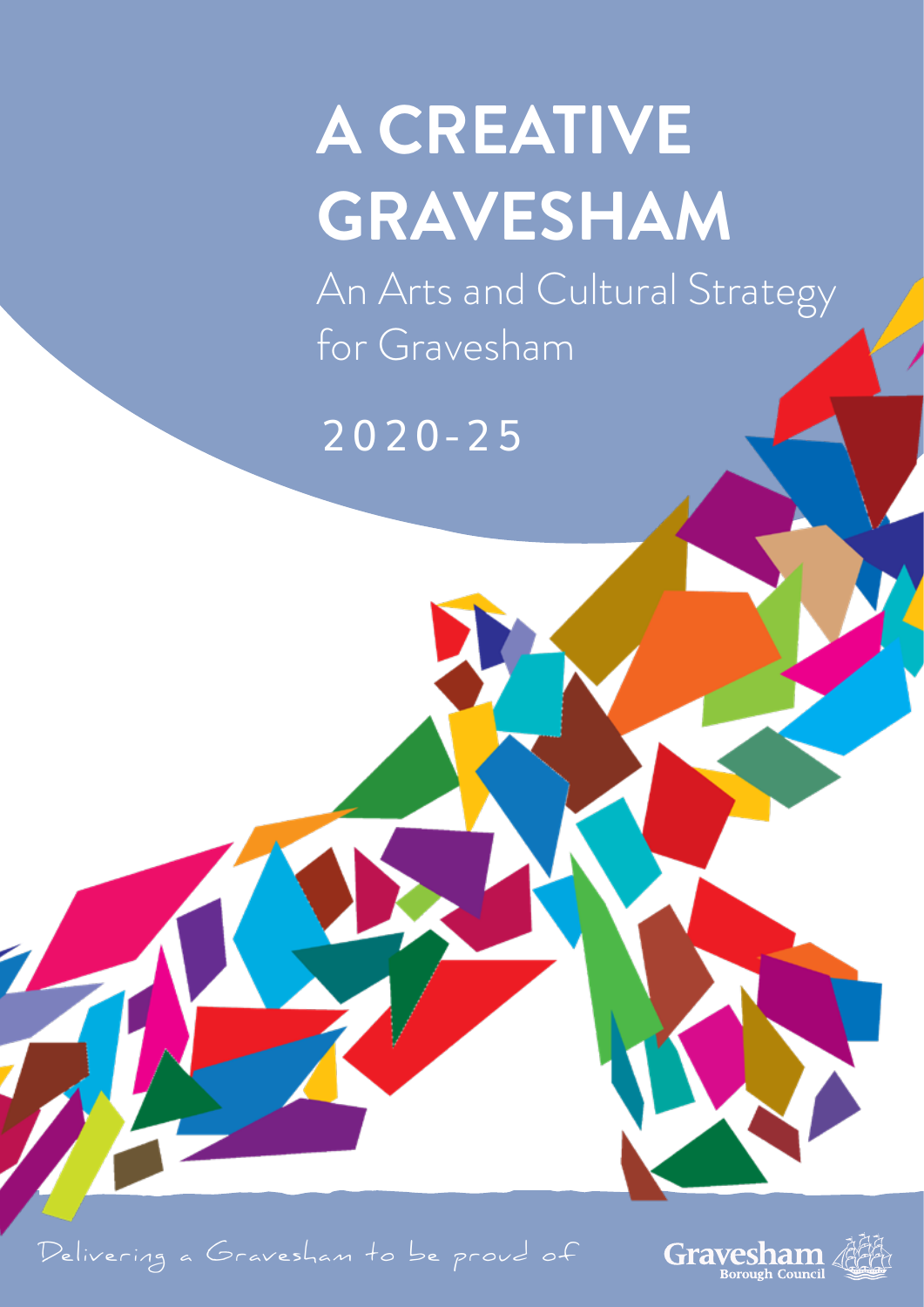# **A CREATIVE GRAVESHAM**

An Arts and Cultural Strategy for Gravesham

2020-25



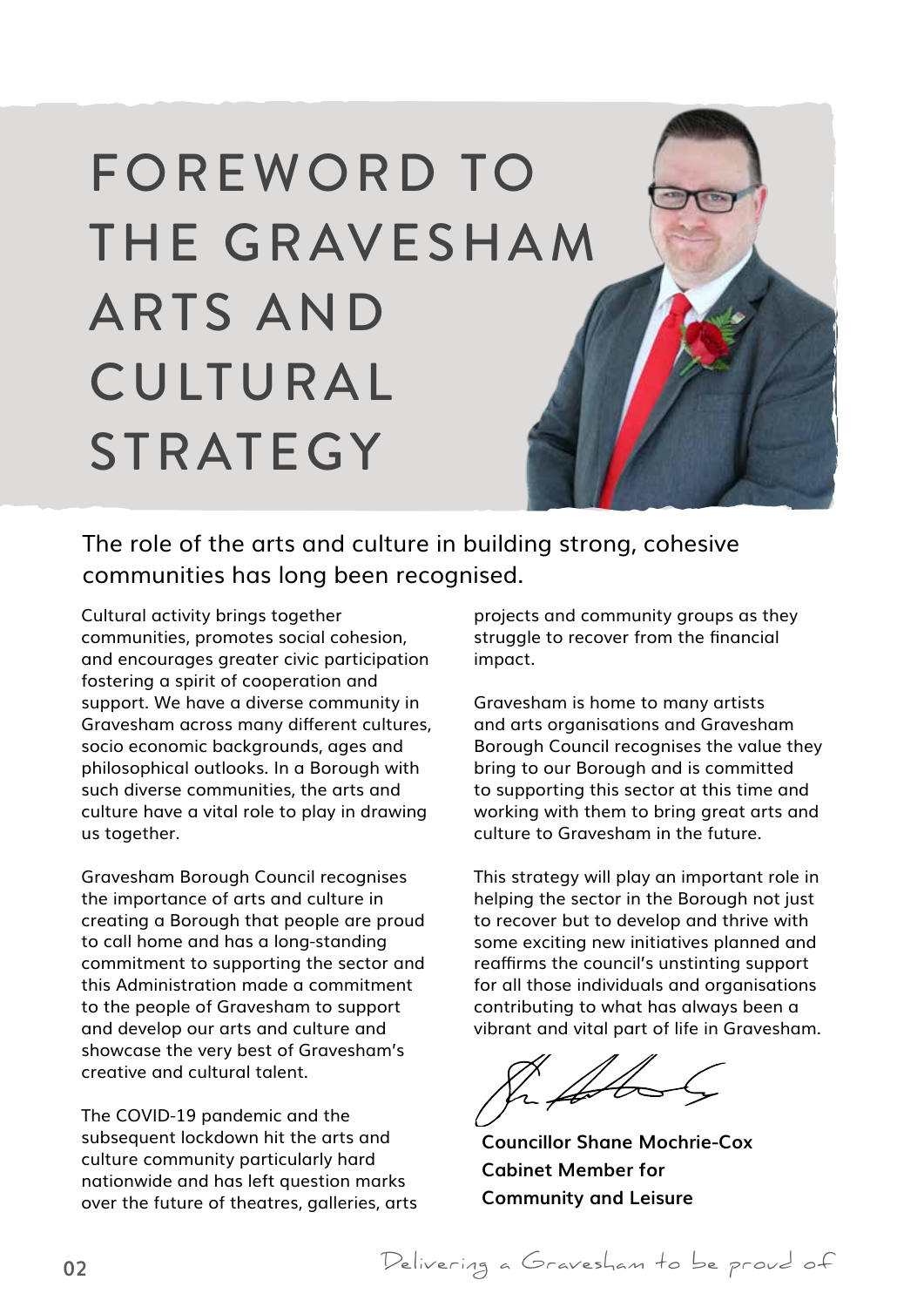## FOREWORD TO THE GRAVESHAM ARTS AND CULTURAL STRATEGY

The role of the arts and culture in building strong, cohesive communities has long been recognised.

Cultural activity brings together communities, promotes social cohesion, and encourages greater civic participation fostering a spirit of cooperation and support. We have a diverse community in Gravesham across many different cultures, socio economic backgrounds, ages and philosophical outlooks. In a Borough with such diverse communities, the arts and culture have a vital role to play in drawing us together.

Gravesham Borough Council recognises the importance of arts and culture in creating a Borough that people are proud to call home and has a long-standing commitment to supporting the sector and this Administration made a commitment to the people of Gravesham to support and develop our arts and culture and showcase the very best of Gravesham's creative and cultural talent.

The COVID-19 pandemic and the subsequent lockdown hit the arts and culture community particularly hard nationwide and has left question marks over the future of theatres, galleries, arts projects and community groups as they struggle to recover from the financial impact.

Gravesham is home to many artists and arts organisations and Gravesham Borough Council recognises the value they bring to our Borough and is committed to supporting this sector at this time and working with them to bring great arts and culture to Gravesham in the future.

This strategy will play an important role in helping the sector in the Borough not just to recover but to develop and thrive with some exciting new initiatives planned and reaffirms the council's unstinting support for all those individuals and organisations contributing to what has always been a vibrant and vital part of life in Gravesham.

**Councillor Shane Mochrie-Cox Cabinet Member for Community and Leisure**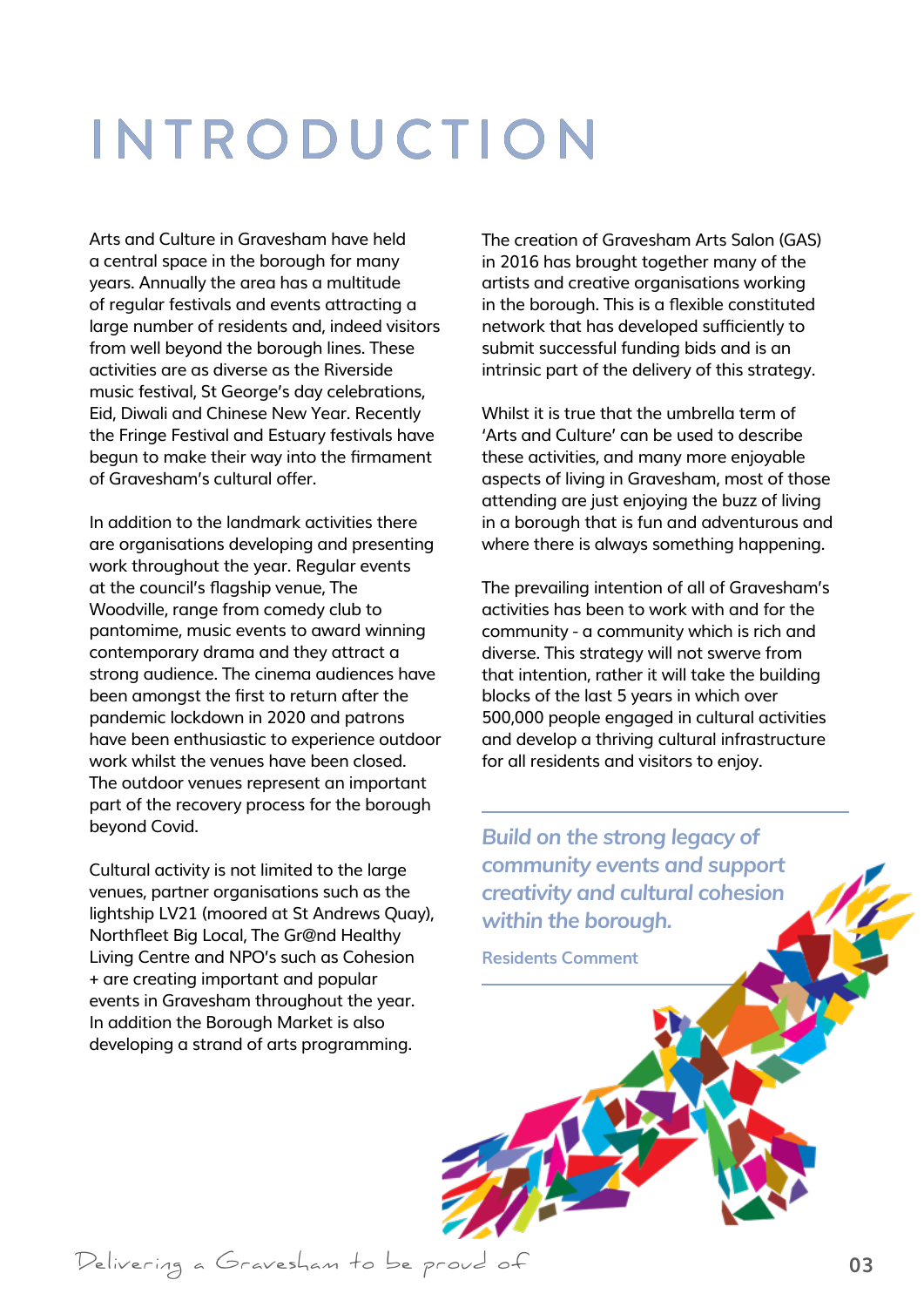## **INTRODUCTION**

Arts and Culture in Gravesham have held a central space in the borough for many years. Annually the area has a multitude of regular festivals and events attracting a large number of residents and, indeed visitors from well beyond the borough lines. These activities are as diverse as the Riverside music festival, St George's day celebrations, Eid, Diwali and Chinese New Year. Recently the Fringe Festival and Estuary festivals have begun to make their way into the firmament of Gravesham's cultural offer.

In addition to the landmark activities there are organisations developing and presenting work throughout the year. Regular events at the council's flagship venue, The Woodville, range from comedy club to pantomime, music events to award winning contemporary drama and they attract a strong audience. The cinema audiences have been amongst the first to return after the pandemic lockdown in 2020 and patrons have been enthusiastic to experience outdoor work whilst the venues have been closed. The outdoor venues represent an important part of the recovery process for the borough beyond Covid.

Cultural activity is not limited to the large venues, partner organisations such as the lightship LV21 (moored at St Andrews Quay), Northfleet Big Local, The Gr@nd Healthy Living Centre and NPO's such as Cohesion + are creating important and popular events in Gravesham throughout the year. In addition the Borough Market is also developing a strand of arts programming.

The creation of Gravesham Arts Salon (GAS) in 2016 has brought together many of the artists and creative organisations working in the borough. This is a flexible constituted network that has developed sufficiently to submit successful funding bids and is an intrinsic part of the delivery of this strategy.

Whilst it is true that the umbrella term of 'Arts and Culture' can be used to describe these activities, and many more enjoyable aspects of living in Gravesham, most of those attending are just enjoying the buzz of living in a borough that is fun and adventurous and where there is always something happening.

The prevailing intention of all of Gravesham's activities has been to work with and for the community - a community which is rich and diverse. This strategy will not swerve from that intention, rather it will take the building blocks of the last 5 years in which over 500,000 people engaged in cultural activities and develop a thriving cultural infrastructure for all residents and visitors to enjoy.

*Build on the strong legacy of community events and support creativity and cultural cohesion within the borough.* 

**Residents Comment** 

Delivering a Gravesham to be proud of **03**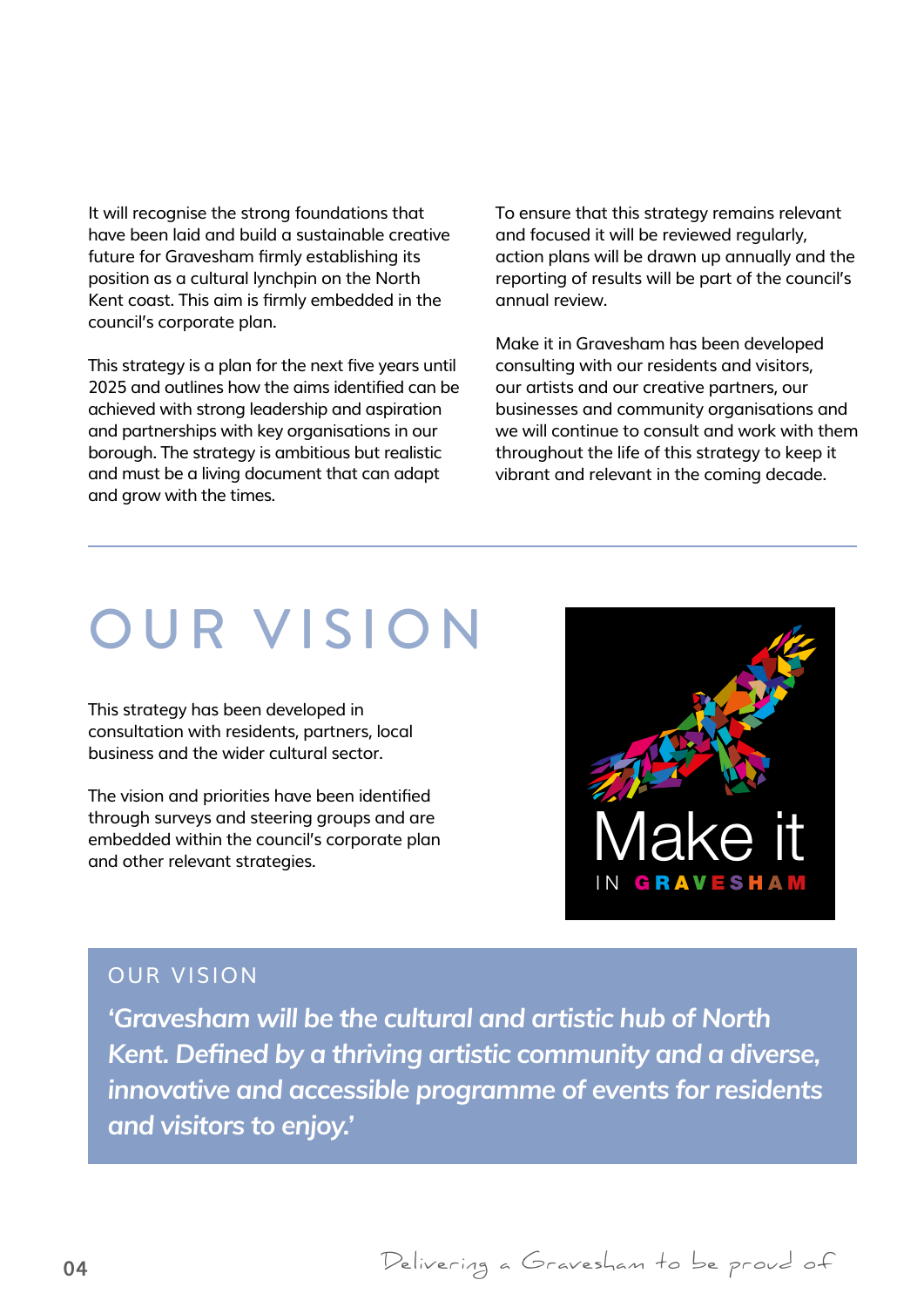It will recognise the strong foundations that have been laid and build a sustainable creative future for Gravesham firmly establishing its position as a cultural lynchpin on the North Kent coast. This aim is firmly embedded in the council's corporate plan.

This strategy is a plan for the next five years until 2025 and outlines how the aims identified can be achieved with strong leadership and aspiration and partnerships with key organisations in our borough. The strategy is ambitious but realistic and must be a living document that can adapt and grow with the times.

To ensure that this strategy remains relevant and focused it will be reviewed regularly, action plans will be drawn up annually and the reporting of results will be part of the council's annual review.

Make it in Gravesham has been developed consulting with our residents and visitors, our artists and our creative partners, our businesses and community organisations and we will continue to consult and work with them throughout the life of this strategy to keep it vibrant and relevant in the coming decade.

## OUR VISION

This strategy has been developed in consultation with residents, partners, local business and the wider cultural sector.

The vision and priorities have been identified through surveys and steering groups and are embedded within the council's corporate plan and other relevant strategies.



### OUR VISION

*'Gravesham will be the cultural and artistic hub of North Kent. Defined by a thriving artistic community and a diverse, innovative and accessible programme of events for residents and visitors to enjoy.'*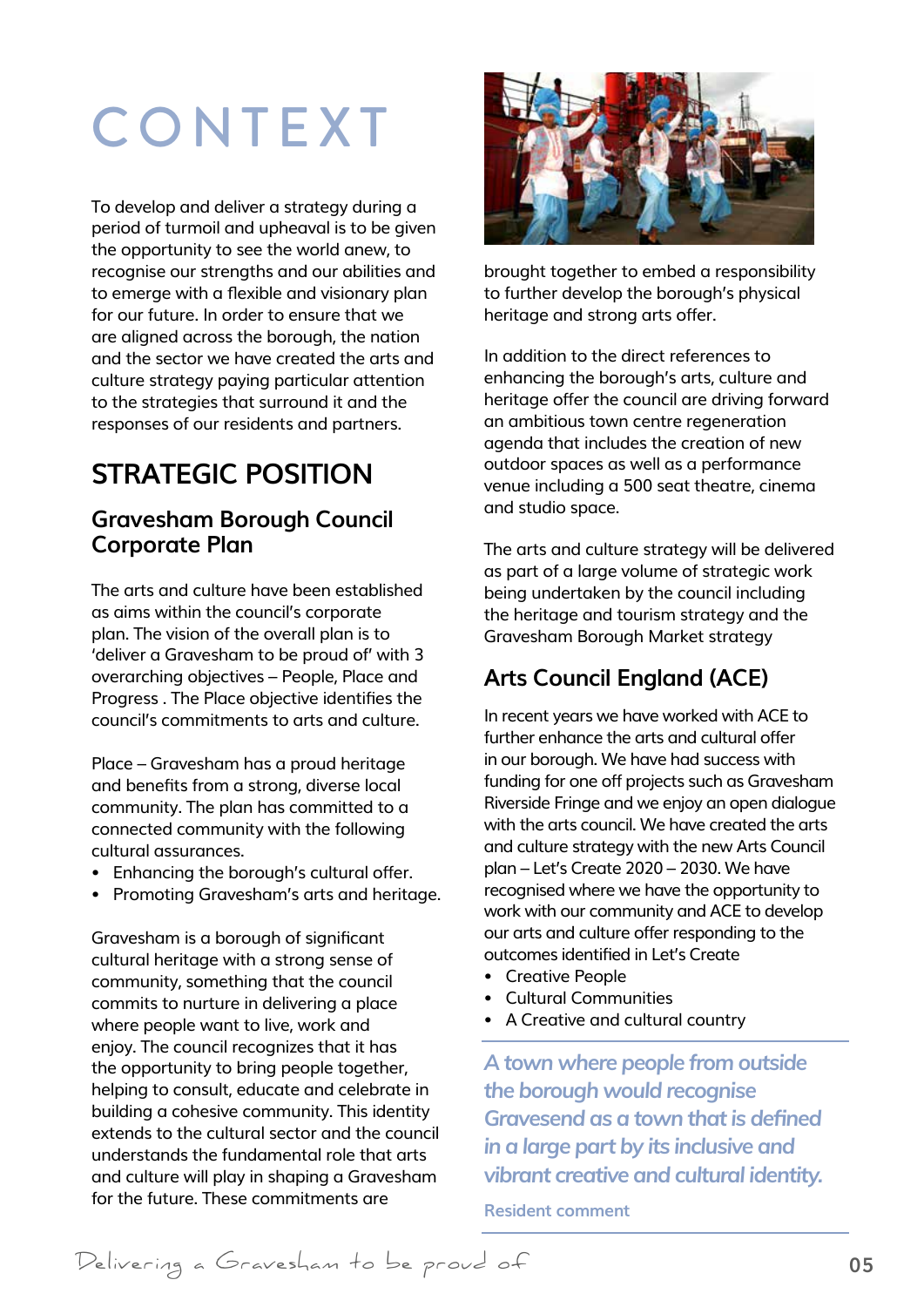## CONTEXT

To develop and deliver a strategy during a period of turmoil and upheaval is to be given the opportunity to see the world anew, to recognise our strengths and our abilities and to emerge with a flexible and visionary plan for our future. In order to ensure that we are aligned across the borough, the nation and the sector we have created the arts and culture strategy paying particular attention to the strategies that surround it and the responses of our residents and partners.

## **STRATEGIC POSITION**

### **Gravesham Borough Council Corporate Plan**

The arts and culture have been established as aims within the council's corporate plan. The vision of the overall plan is to 'deliver a Gravesham to be proud of' with 3 overarching objectives – People, Place and Progress . The Place objective identifies the council's commitments to arts and culture.

Place – Gravesham has a proud heritage and benefits from a strong, diverse local community. The plan has committed to a connected community with the following cultural assurances.

- Enhancing the borough's cultural offer.
- Promoting Gravesham's arts and heritage.

Gravesham is a borough of significant cultural heritage with a strong sense of community, something that the council commits to nurture in delivering a place where people want to live, work and enjoy. The council recognizes that it has the opportunity to bring people together, helping to consult, educate and celebrate in building a cohesive community. This identity extends to the cultural sector and the council understands the fundamental role that arts and culture will play in shaping a Gravesham for the future. These commitments are



brought together to embed a responsibility to further develop the borough's physical heritage and strong arts offer.

In addition to the direct references to enhancing the borough's arts, culture and heritage offer the council are driving forward an ambitious town centre regeneration agenda that includes the creation of new outdoor spaces as well as a performance venue including a 500 seat theatre, cinema and studio space.

The arts and culture strategy will be delivered as part of a large volume of strategic work being undertaken by the council including the heritage and tourism strategy and the Gravesham Borough Market strategy

## **Arts Council England (ACE)**

In recent years we have worked with ACE to further enhance the arts and cultural offer in our borough. We have had success with funding for one off projects such as Gravesham Riverside Fringe and we enjoy an open dialogue with the arts council. We have created the arts and culture strategy with the new Arts Council plan – Let's Create 2020 – 2030. We have recognised where we have the opportunity to work with our community and ACE to develop our arts and culture offer responding to the outcomes identified in Let's Create

- Creative People
- Cultural Communities
- A Creative and cultural country

*A town where people from outside the borough would recognise Gravesend as a town that is defined in a large part by its inclusive and vibrant creative and cultural identity.* 

**Resident comment**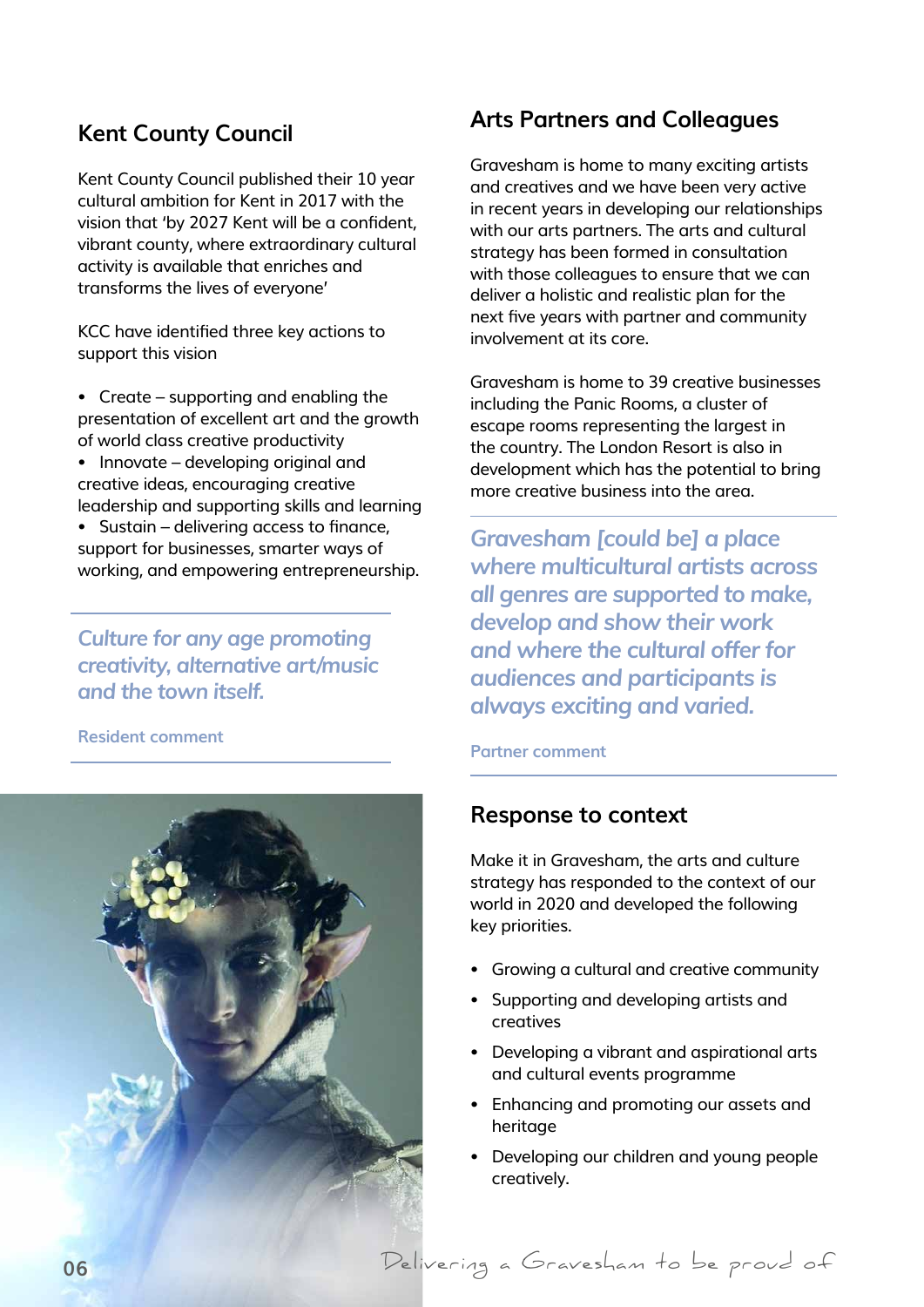### **Kent County Council**

Kent County Council published their 10 year cultural ambition for Kent in 2017 with the vision that 'by 2027 Kent will be a confident, vibrant county, where extraordinary cultural activity is available that enriches and transforms the lives of everyone'

KCC have identified three key actions to support this vision

• Create – supporting and enabling the presentation of excellent art and the growth of world class creative productivity

- Innovate developing original and creative ideas, encouraging creative leadership and supporting skills and learning
- Sustain delivering access to finance, support for businesses, smarter ways of working, and empowering entrepreneurship.

*Culture for any age promoting creativity, alternative art/music and the town itself.* 

#### **Resident comment**



### **Arts Partners and Colleagues**

Gravesham is home to many exciting artists and creatives and we have been very active in recent years in developing our relationships with our arts partners. The arts and cultural strategy has been formed in consultation with those colleagues to ensure that we can deliver a holistic and realistic plan for the next five years with partner and community involvement at its core.

Gravesham is home to 39 creative businesses including the Panic Rooms, a cluster of escape rooms representing the largest in the country. The London Resort is also in development which has the potential to bring more creative business into the area.

*Gravesham [could be] a place where multicultural artists across all genres are supported to make, develop and show their work and where the cultural offer for audiences and participants is always exciting and varied.* 

**Partner comment** 

### **Response to context**

Make it in Gravesham, the arts and culture strategy has responded to the context of our world in 2020 and developed the following key priorities.

- Growing a cultural and creative community
- Supporting and developing artists and creatives
- Developing a vibrant and aspirational arts and cultural events programme
- Enhancing and promoting our assets and heritage
- Developing our children and young people creatively.

Delivering a Gravesham to be proud of **06**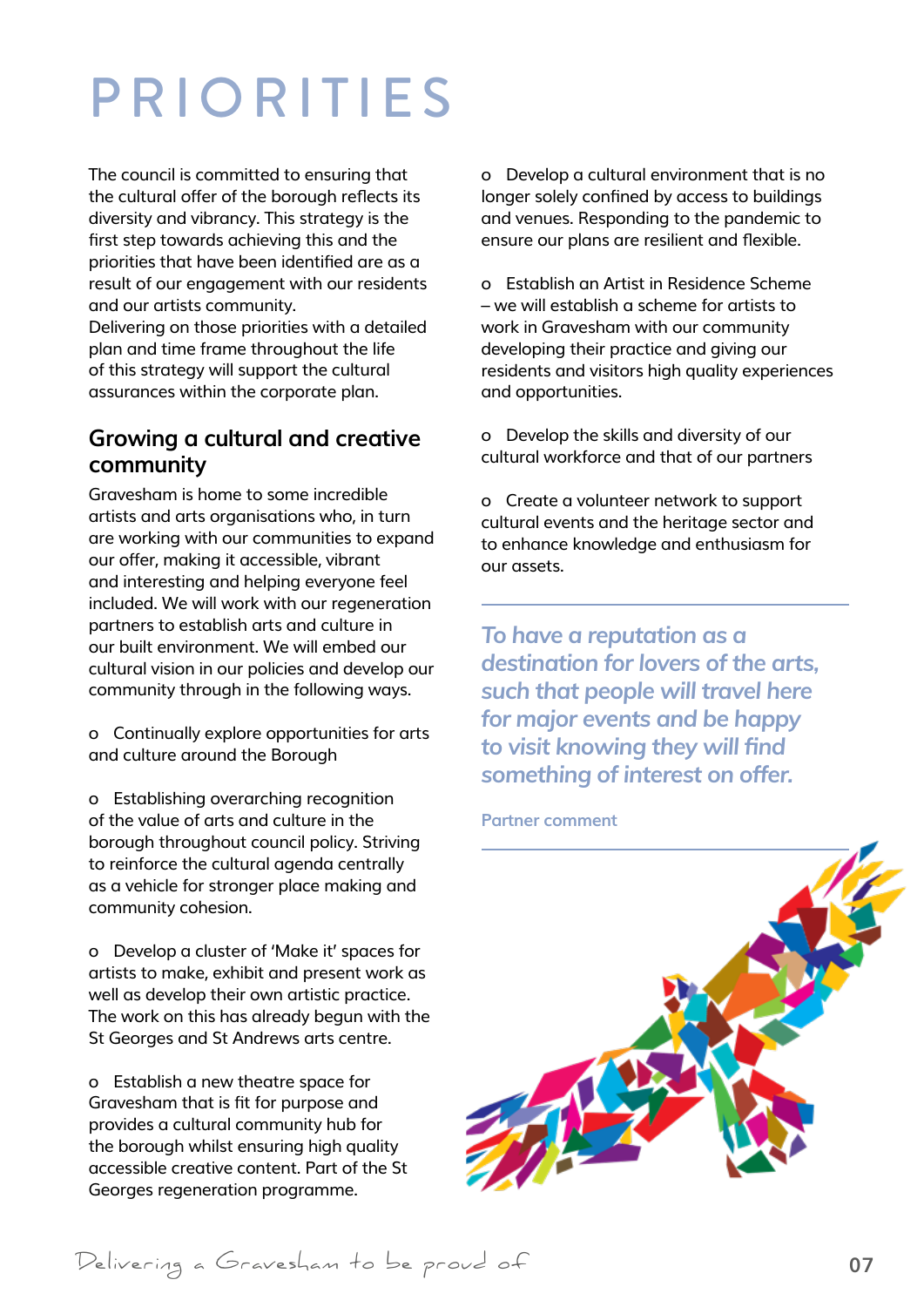## PRIORITIES

The council is committed to ensuring that the cultural offer of the borough reflects its diversity and vibrancy. This strategy is the first step towards achieving this and the priorities that have been identified are as a result of our engagement with our residents and our artists community.

Delivering on those priorities with a detailed plan and time frame throughout the life of this strategy will support the cultural assurances within the corporate plan.

### **Growing a cultural and creative community**

Gravesham is home to some incredible artists and arts organisations who, in turn are working with our communities to expand our offer, making it accessible, vibrant and interesting and helping everyone feel included. We will work with our regeneration partners to establish arts and culture in our built environment. We will embed our cultural vision in our policies and develop our community through in the following ways.

o Continually explore opportunities for arts and culture around the Borough

o Establishing overarching recognition of the value of arts and culture in the borough throughout council policy. Striving to reinforce the cultural agenda centrally as a vehicle for stronger place making and community cohesion.

o Develop a cluster of 'Make it' spaces for artists to make, exhibit and present work as well as develop their own artistic practice. The work on this has already begun with the St Georges and St Andrews arts centre.

o Establish a new theatre space for Gravesham that is fit for purpose and provides a cultural community hub for the borough whilst ensuring high quality accessible creative content. Part of the St Georges regeneration programme.

o Develop a cultural environment that is no longer solely confined by access to buildings and venues. Responding to the pandemic to ensure our plans are resilient and flexible.

o Establish an Artist in Residence Scheme – we will establish a scheme for artists to work in Gravesham with our community developing their practice and giving our residents and visitors high quality experiences and opportunities.

o Develop the skills and diversity of our cultural workforce and that of our partners

o Create a volunteer network to support cultural events and the heritage sector and to enhance knowledge and enthusiasm for our assets.

*To have a reputation as a destination for lovers of the arts, such that people will travel here for major events and be happy to visit knowing they will find something of interest on offer.* 

**Partner comment** 

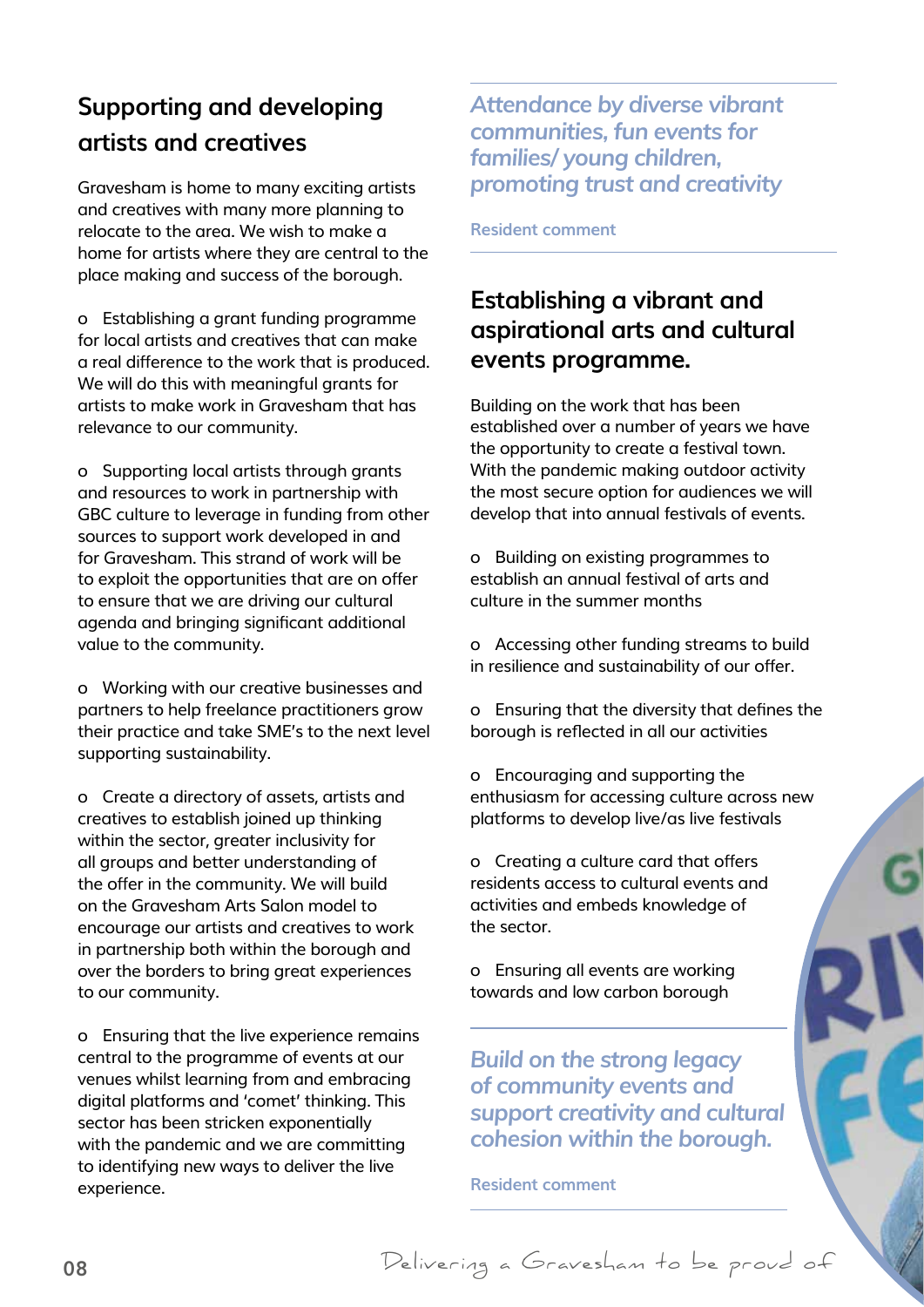## **Supporting and developing artists and creatives**

Gravesham is home to many exciting artists and creatives with many more planning to relocate to the area. We wish to make a home for artists where they are central to the place making and success of the borough.

o Establishing a grant funding programme for local artists and creatives that can make a real difference to the work that is produced. We will do this with meaningful grants for artists to make work in Gravesham that has relevance to our community.

o Supporting local artists through grants and resources to work in partnership with GBC culture to leverage in funding from other sources to support work developed in and for Gravesham. This strand of work will be to exploit the opportunities that are on offer to ensure that we are driving our cultural agenda and bringing significant additional value to the community.

o Working with our creative businesses and partners to help freelance practitioners grow their practice and take SME's to the next level supporting sustainability.

o Create a directory of assets, artists and creatives to establish joined up thinking within the sector, greater inclusivity for all groups and better understanding of the offer in the community. We will build on the Gravesham Arts Salon model to encourage our artists and creatives to work in partnership both within the borough and over the borders to bring great experiences to our community.

o Ensuring that the live experience remains central to the programme of events at our venues whilst learning from and embracing digital platforms and 'comet' thinking. This sector has been stricken exponentially with the pandemic and we are committing to identifying new ways to deliver the live experience.

*Attendance by diverse vibrant communities, fun events for families/ young children, promoting trust and creativity* 

**Resident comment** 

## **Establishing a vibrant and aspirational arts and cultural events programme.**

Building on the work that has been established over a number of years we have the opportunity to create a festival town. With the pandemic making outdoor activity the most secure option for audiences we will develop that into annual festivals of events.

o Building on existing programmes to establish an annual festival of arts and culture in the summer months

o Accessing other funding streams to build in resilience and sustainability of our offer.

o Ensuring that the diversity that defines the borough is reflected in all our activities

o Encouraging and supporting the enthusiasm for accessing culture across new platforms to develop live/as live festivals

o Creating a culture card that offers residents access to cultural events and activities and embeds knowledge of the sector.

o Ensuring all events are working towards and low carbon borough

*Build on the strong legacy of community events and support creativity and cultural cohesion within the borough.* 

**Resident comment** 

Delivering a Gravesham to be proud of **08**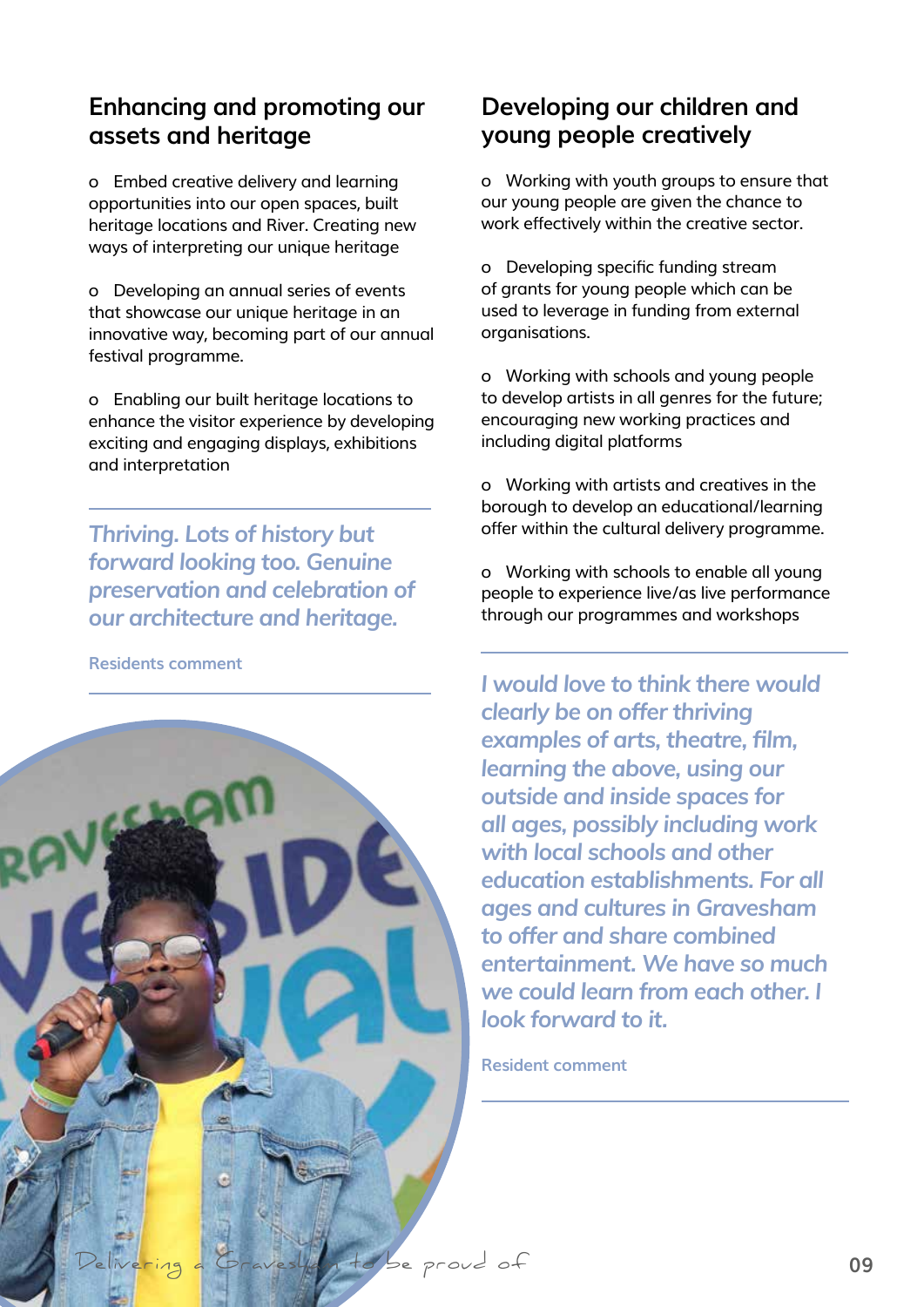## **Enhancing and promoting our assets and heritage**

o Embed creative delivery and learning opportunities into our open spaces, built heritage locations and River. Creating new ways of interpreting our unique heritage

o Developing an annual series of events that showcase our unique heritage in an innovative way, becoming part of our annual festival programme.

o Enabling our built heritage locations to enhance the visitor experience by developing exciting and engaging displays, exhibitions and interpretation

*Thriving. Lots of history but forward looking too. Genuine preservation and celebration of our architecture and heritage.* 

**Residents comment** 



## **Developing our children and young people creatively**

o Working with youth groups to ensure that our young people are given the chance to work effectively within the creative sector.

o Developing specific funding stream of grants for young people which can be used to leverage in funding from external organisations.

o Working with schools and young people to develop artists in all genres for the future; encouraging new working practices and including digital platforms

o Working with artists and creatives in the borough to develop an educational/learning offer within the cultural delivery programme.

o Working with schools to enable all young people to experience live/as live performance through our programmes and workshops

*I would love to think there would clearly be on offer thriving examples of arts, theatre, film, learning the above, using our outside and inside spaces for all ages, possibly including work with local schools and other education establishments. For all ages and cultures in Gravesham to offer and share combined entertainment. We have so much we could learn from each other. I look forward to it.* 

**Resident comment**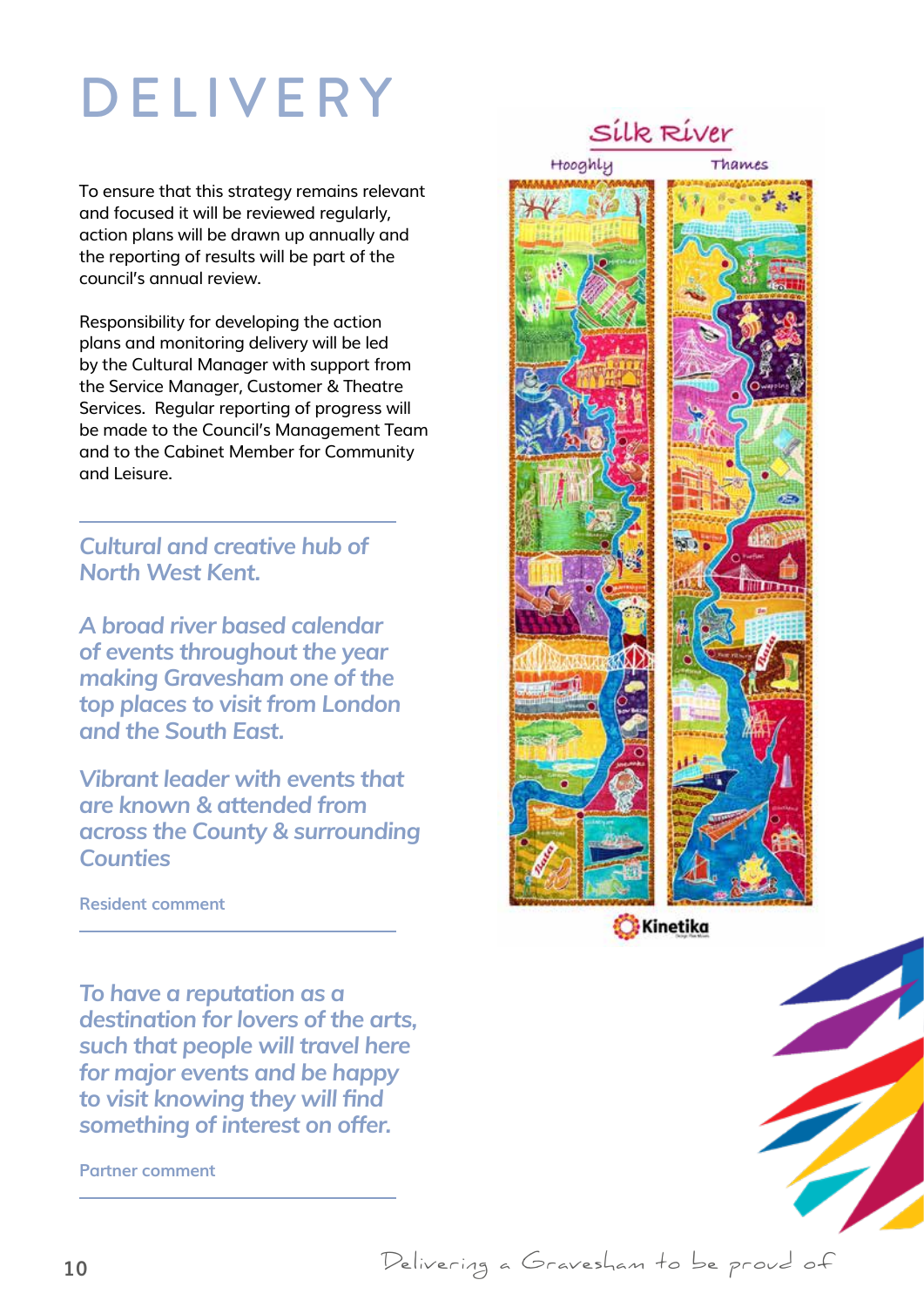## DELIVERY

To ensure that this strategy remains relevant and focused it will be reviewed regularly, action plans will be drawn up annually and the reporting of results will be part of the council's annual review.

Responsibility for developing the action plans and monitoring delivery will be led by the Cultural Manager with support from the Service Manager, Customer & Theatre Services. Regular reporting of progress will be made to the Council's Management Team and to the Cabinet Member for Community and Leisure.

*Cultural and creative hub of North West Kent.* 

*A broad river based calendar of events throughout the year making Gravesham one of the top places to visit from London and the South East.* 

*Vibrant leader with events that are known & attended from across the County & surrounding Counties* 

**Resident comment** 

*To have a reputation as a destination for lovers of the arts, such that people will travel here for major events and be happy to visit knowing they will find something of interest on offer.* 

**Partner comment** 





Thames



Kinetika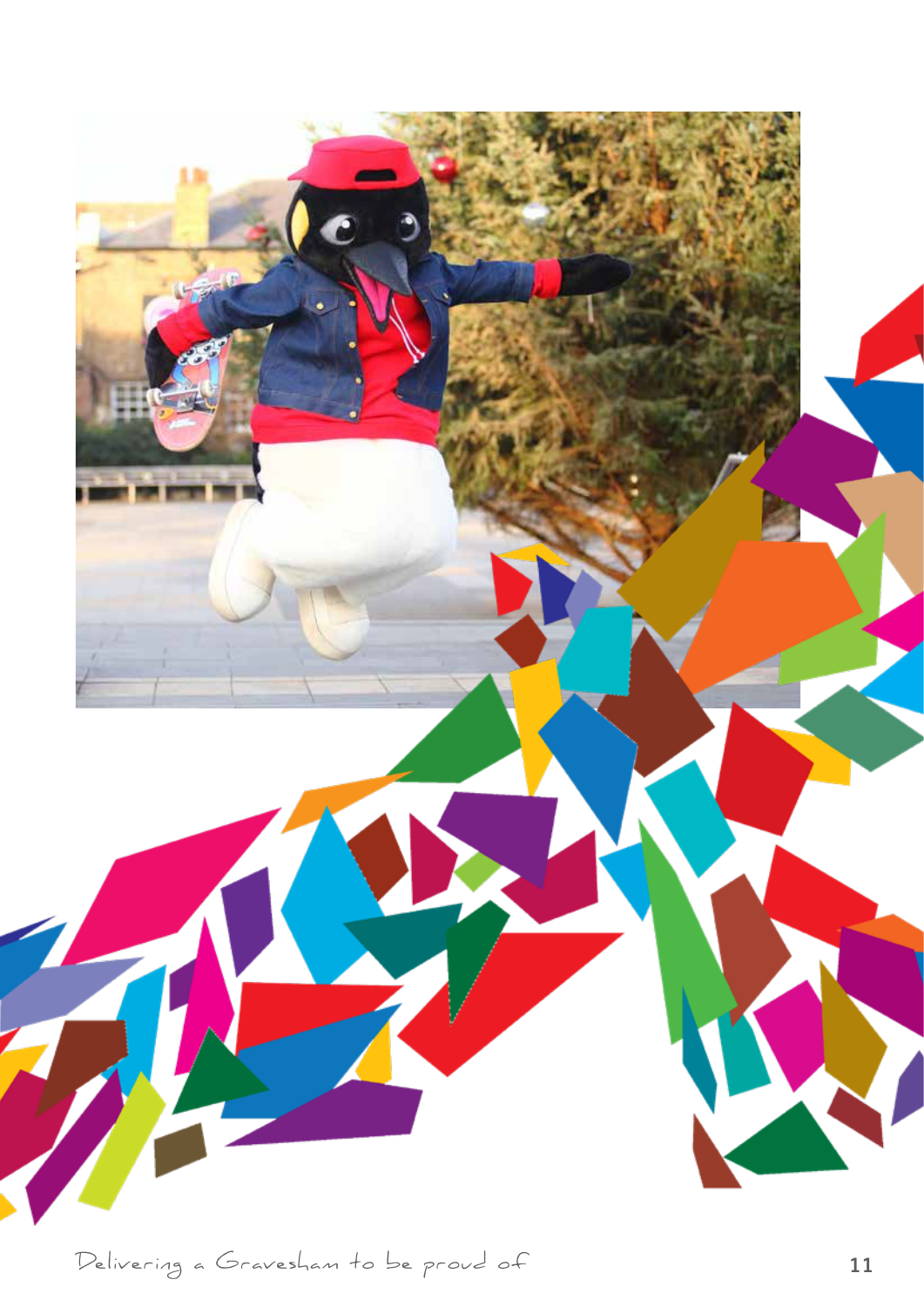

Delivering a Gravesham to be proud of **11**